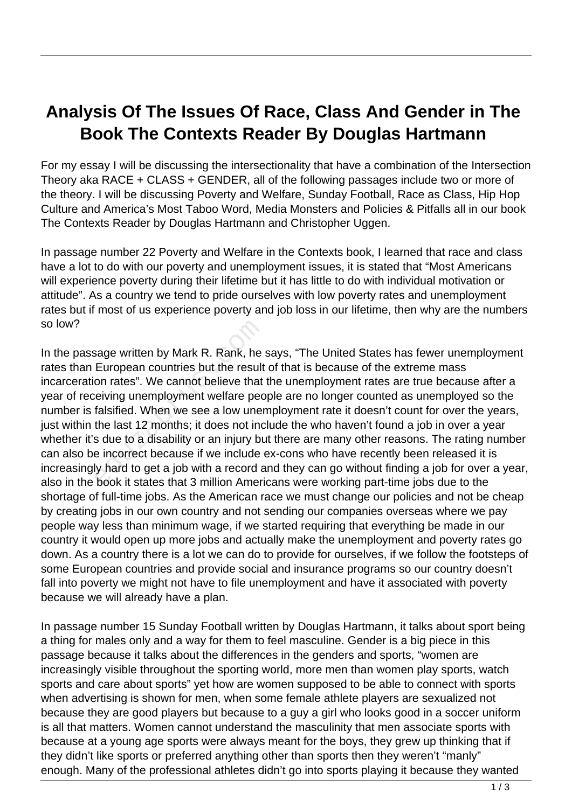## **Analysis Of The Issues Of Race, Class And Gender in The Book The Contexts Reader By Douglas Hartmann**

For my essay I will be discussing the intersectionality that have a combination of the Intersection Theory aka RACE + CLASS + GENDER, all of the following passages include two or more of the theory. I will be discussing Poverty and Welfare, Sunday Football, Race as Class, Hip Hop Culture and America's Most Taboo Word, Media Monsters and Policies & Pitfalls all in our book The Contexts Reader by Douglas Hartmann and Christopher Uggen.

In passage number 22 Poverty and Welfare in the Contexts book, I learned that race and class have a lot to do with our poverty and unemployment issues, it is stated that "Most Americans will experience poverty during their lifetime but it has little to do with individual motivation or attitude". As a country we tend to pride ourselves with low poverty rates and unemployment rates but if most of us experience poverty and job loss in our lifetime, then why are the numbers so low?

In the passage written by Mark R. Rank, he says, "The United States has fewer unemployment rates than European countries but the result of that is because of the extreme mass incarceration rates". We cannot believe that the unemployment rates are true because after a year of receiving unemployment welfare people are no longer counted as unemployed so the number is falsified. When we see a low unemployment rate it doesn't count for over the years, just within the last 12 months; it does not include the who haven't found a job in over a year whether it's due to a disability or an injury but there are many other reasons. The rating number can also be incorrect because if we include ex-cons who have recently been released it is increasingly hard to get a job with a record and they can go without finding a job for over a year, also in the book it states that 3 million Americans were working part-time jobs due to the shortage of full-time jobs. As the American race we must change our policies and not be cheap by creating jobs in our own country and not sending our companies overseas where we pay people way less than minimum wage, if we started requiring that everything be made in our country it would open up more jobs and actually make the unemployment and poverty rates go down. As a country there is a lot we can do to provide for ourselves, if we follow the footsteps of some European countries and provide social and insurance programs so our country doesn't fall into poverty we might not have to file unemployment and have it associated with poverty because we will already have a plan. sage written by Mark R. Rank, he<br>European countries but the result<br>on rates". We cannot believe that<br>reiving unemployment welfare pec<br>falsified. When we see a low uner<br>the last 12 months; it does not inc<br>s due to a disabil

In passage number 15 Sunday Football written by Douglas Hartmann, it talks about sport being a thing for males only and a way for them to feel masculine. Gender is a big piece in this passage because it talks about the differences in the genders and sports, "women are increasingly visible throughout the sporting world, more men than women play sports, watch sports and care about sports" yet how are women supposed to be able to connect with sports when advertising is shown for men, when some female athlete players are sexualized not because they are good players but because to a guy a girl who looks good in a soccer uniform is all that matters. Women cannot understand the masculinity that men associate sports with because at a young age sports were always meant for the boys, they grew up thinking that if they didn't like sports or preferred anything other than sports then they weren't "manly" enough. Many of the professional athletes didn't go into sports playing it because they wanted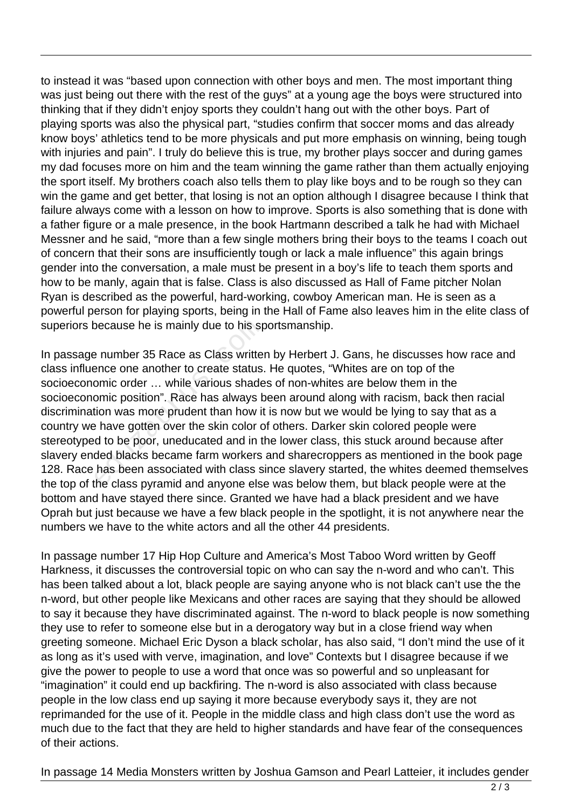to instead it was "based upon connection with other boys and men. The most important thing was just being out there with the rest of the guys" at a young age the boys were structured into thinking that if they didn't enjoy sports they couldn't hang out with the other boys. Part of playing sports was also the physical part, "studies confirm that soccer moms and das already know boys' athletics tend to be more physicals and put more emphasis on winning, being tough with injuries and pain". I truly do believe this is true, my brother plays soccer and during games my dad focuses more on him and the team winning the game rather than them actually enjoying the sport itself. My brothers coach also tells them to play like boys and to be rough so they can win the game and get better, that losing is not an option although I disagree because I think that failure always come with a lesson on how to improve. Sports is also something that is done with a father figure or a male presence, in the book Hartmann described a talk he had with Michael Messner and he said, "more than a few single mothers bring their boys to the teams I coach out of concern that their sons are insufficiently tough or lack a male influence" this again brings gender into the conversation, a male must be present in a boy's life to teach them sports and how to be manly, again that is false. Class is also discussed as Hall of Fame pitcher Nolan Ryan is described as the powerful, hard-working, cowboy American man. He is seen as a powerful person for playing sports, being in the Hall of Fame also leaves him in the elite class of superiors because he is mainly due to his sportsmanship.

In passage number 35 Race as Class written by Herbert J. Gans, he discusses how race and class influence one another to create status. He quotes, "Whites are on top of the socioeconomic order … while various shades of non-whites are below them in the socioeconomic position". Race has always been around along with racism, back then racial discrimination was more prudent than how it is now but we would be lying to say that as a country we have gotten over the skin color of others. Darker skin colored people were stereotyped to be poor, uneducated and in the lower class, this stuck around because after slavery ended blacks became farm workers and sharecroppers as mentioned in the book page 128. Race has been associated with class since slavery started, the whites deemed themselves the top of the class pyramid and anyone else was below them, but black people were at the bottom and have stayed there since. Granted we have had a black president and we have Oprah but just because we have a few black people in the spotlight, it is not anywhere near the numbers we have to the white actors and all the other 44 presidents. because he is mainly due to his sp<br>exause he is mainly due to his sp<br>exause and the same since one another to create status.<br>omic order ... while various shade<br>omic position". Race has always b<br>tion was more prudent than h

In passage number 17 Hip Hop Culture and America's Most Taboo Word written by Geoff Harkness, it discusses the controversial topic on who can say the n-word and who can't. This has been talked about a lot, black people are saying anyone who is not black can't use the the n-word, but other people like Mexicans and other races are saying that they should be allowed to say it because they have discriminated against. The n-word to black people is now something they use to refer to someone else but in a derogatory way but in a close friend way when greeting someone. Michael Eric Dyson a black scholar, has also said, "I don't mind the use of it as long as it's used with verve, imagination, and love" Contexts but I disagree because if we give the power to people to use a word that once was so powerful and so unpleasant for "imagination" it could end up backfiring. The n-word is also associated with class because people in the low class end up saying it more because everybody says it, they are not reprimanded for the use of it. People in the middle class and high class don't use the word as much due to the fact that they are held to higher standards and have fear of the consequences of their actions.

In passage 14 Media Monsters written by Joshua Gamson and Pearl Latteier, it includes gender